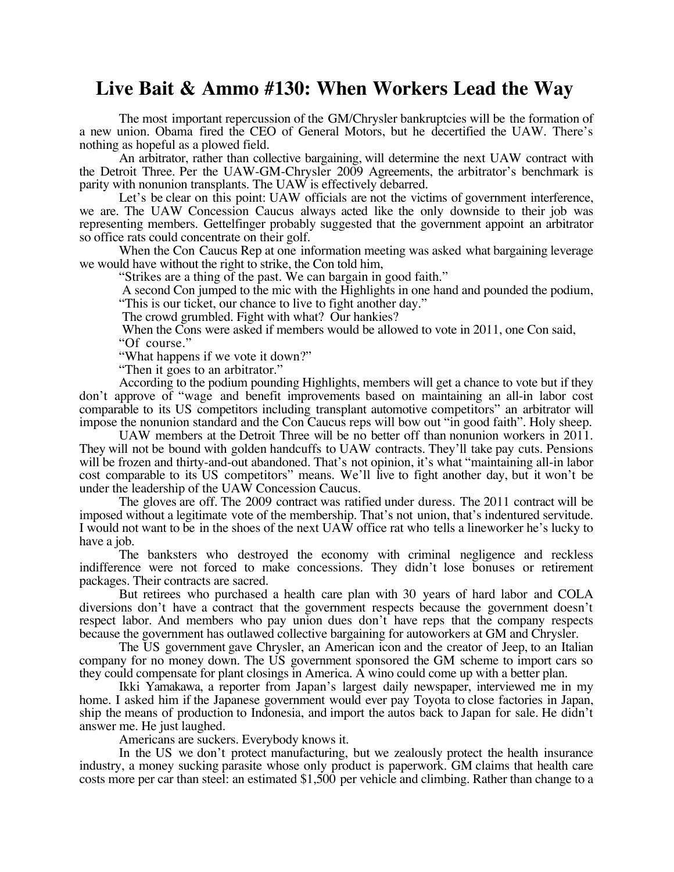## **Live Bait & Ammo #130: When Workers Lead the Way**

The most important repercussion of the GM/Chrysler bankruptcies will be the formation of a new union. Obama fired the CEO of General Motors, but he decertified the UAW. There's nothing as hopeful as a plowed field.

An arbitrator, rather than collective bargaining, will determine the next UAW contract with the Detroit Three. Per the UAW-GM-Chrysler 2009 Agreements, the arbitrator's benchmark is parity with nonunion transplants. The UAW is effectively debarred.

Let's be clear on this point: UAW officials are not the victims of government interference, we are. The UAW Concession Caucus always acted like the only downside to their job was representing members. Gettelfinger probably suggested that the government appoint an arbitrator so office rats could concentrate on their golf.

When the Con Caucus Rep at one information meeting was asked what bargaining leverage we would have without the right to strike, the Con told him,

"Strikes are a thing of the past. We can bargain in good faith."

 A second Con jumped to the mic with the Highlights in one hand and pounded the podium, "This is our ticket, our chance to live to fight another day."

The crowd grumbled. Fight with what? Our hankies?

 When the Cons were asked if members would be allowed to vote in 2011, one Con said, "Of course."

"What happens if we vote it down?"

"Then it goes to an arbitrator."

According to the podium pounding Highlights, members will get a chance to vote but if they don't approve of "wage and benefit improvements based on maintaining an all-in labor cost comparable to its US competitors including transplant automotive competitors" an arbitrator will impose the nonunion standard and the Con Caucus reps will bow out "in good faith". Holy sheep.

UAW members at the Detroit Three will be no better off than nonunion workers in 2011. They will not be bound with golden handcuffs to UAW contracts. They'll take pay cuts. Pensions will be frozen and thirty-and-out abandoned. That's not opinion, it's what "maintaining all-in labor cost comparable to its US competitors" means. We'll live to fight another day, but it won't be under the leadership of the UAW Concession Caucus.

The gloves are off. The 2009 contract was ratified under duress. The 2011 contract will be imposed without a legitimate vote of the membership. That's not union, that's indentured servitude. I would not want to be in the shoes of the next UAW office rat who tells a lineworker he's lucky to have a job.

The banksters who destroyed the economy with criminal negligence and reckless indifference were not forced to make concessions. They didn't lose bonuses or retirement packages. Their contracts are sacred.

But retirees who purchased a health care plan with 30 years of hard labor and COLA diversions don't have a contract that the government respects because the government doesn't respect labor. And members who pay union dues don't have reps that the company respects because the government has outlawed collective bargaining for autoworkers at GM and Chrysler.

The US government gave Chrysler, an American icon and the creator of Jeep, to an Italian company for no money down. The US government sponsored the GM scheme to import cars so they could compensate for plant closings in America. A wino could come up with a better plan.

Ikki Yamakawa, a reporter from Japan's largest daily newspaper, interviewed me in my home. I asked him if the Japanese government would ever pay Toyota to close factories in Japan, ship the means of production to Indonesia, and import the autos back to Japan for sale. He didn't answer me. He just laughed.

Americans are suckers. Everybody knows it.

In the US we don't protect manufacturing, but we zealously protect the health insurance industry, a money sucking parasite whose only product is paperwork. GM claims that health care costs more per car than steel: an estimated \$1,500 per vehicle and climbing. Rather than change to a